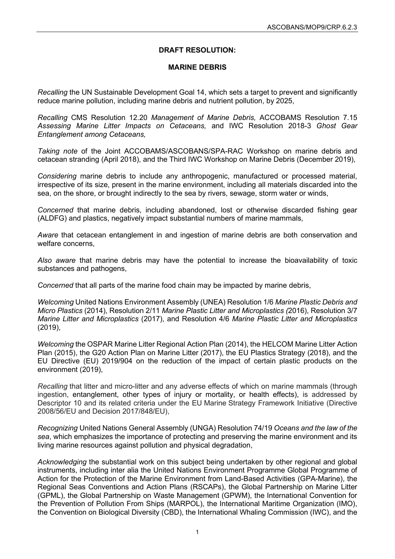## **DRAFT RESOLUTION:**

## **MARINE DEBRIS**

*Recalling* the UN Sustainable Development Goal 14, which sets a target to prevent and significantly reduce marine pollution, including marine debris and nutrient pollution, by 2025,

*Recalling* CMS Resolution 12.20 *Management of Marine Debris,* ACCOBAMS Resolution 7.15 *Assessing Marine Litter Impacts on Cetaceans,* and IWC Resolution 2018-3 *Ghost Gear Entanglement among Cetaceans,*

*Taking note* of the Joint ACCOBAMS/ASCOBANS/SPA-RAC Workshop on marine debris and cetacean stranding (April 2018), and the Third IWC Workshop on Marine Debris (December 2019),

*Considering* marine debris to include any anthropogenic, manufactured or processed material, irrespective of its size, present in the marine environment, including all materials discarded into the sea, on the shore, or brought indirectly to the sea by rivers, sewage, storm water or winds,

*Concerned* that marine debris, including abandoned, lost or otherwise discarded fishing gear (ALDFG) and plastics, negatively impact substantial numbers of marine mammals,

*Aware* that cetacean entanglement in and ingestion of marine debris are both conservation and welfare concerns,

*Also aware* that marine debris may have the potential to increase the bioavailability of toxic substances and pathogens,

*Concerned* that all parts of the marine food chain may be impacted by marine debris,

*Welcoming* United Nations Environment Assembly (UNEA) Resolution 1/6 *Marine Plastic Debris and Micro Plastics* (2014), Resolution 2/11 *Marine Plastic Litter and Microplastics (*2016), Resolution 3/7 *Marine Litter and Microplastics* (2017), and Resolution 4/6 *Marine Plastic Litter and Microplastics* (2019),

*Welcoming* the OSPAR Marine Litter Regional Action Plan (2014), the HELCOM Marine Litter Action Plan (2015), the G20 Action Plan on Marine Litter (2017), the EU Plastics Strategy (2018), and the EU Directive (EU) 2019/904 on the reduction of the impact of certain plastic products on the environment (2019),

*Recalling* that litter and micro-litter and any adverse effects of which on marine mammals (through ingestion, entanglement, other types of injury or mortality, or health effects), is addressed by Descriptor 10 and its related criteria under the EU Marine Strategy Framework Initiative (Directive 2008/56/EU and Decision 2017/848/EU),

*Recognizing* United Nations General Assembly (UNGA) Resolution 74/19 *Oceans and the law of the sea*, which emphasizes the importance of protecting and preserving the marine environment and its living marine resources against pollution and physical degradation,

*Acknowledging* the substantial work on this subject being undertaken by other regional and global instruments, including inter alia the United Nations Environment Programme Global Programme of Action for the Protection of the Marine Environment from Land-Based Activities (GPA-Marine), the Regional Seas Conventions and Action Plans (RSCAPs), the Global Partnership on Marine Litter (GPML), the Global Partnership on Waste Management (GPWM), the International Convention for the Prevention of Pollution From Ships (MARPOL), the International Maritime Organization (IMO), the Convention on Biological Diversity (CBD), the International Whaling Commission (IWC), and the